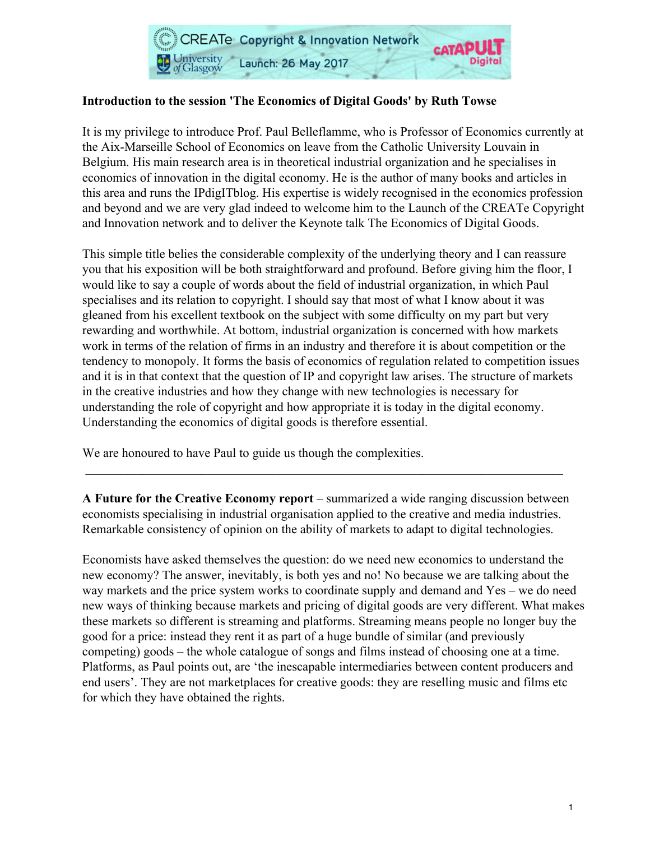

# **Introduction to the session 'The Economics of Digital Goods' by Ruth Towse**

It is my privilege to introduce Prof. Paul Belleflamme, who is Professor of Economics currently at the Aix-Marseille School of Economics on leave from the Catholic University Louvain in Belgium. His main research area is in theoretical industrial organization and he specialises in economics of innovation in the digital economy. He is the author of many books and articles in this area and runs the IPdigITblog. His expertise is widely recognised in the economics profession and beyond and we are very glad indeed to welcome him to the Launch of the CREATe Copyright and Innovation network and to deliver the Keynote talk The Economics of Digital Goods.

This simple title belies the considerable complexity of the underlying theory and I can reassure you that his exposition will be both straightforward and profound. Before giving him the floor, I would like to say a couple of words about the field of industrial organization, in which Paul specialises and its relation to copyright. I should say that most of what I know about it was gleaned from his excellent textbook on the subject with some difficulty on my part but very rewarding and worthwhile. At bottom, industrial organization is concerned with how markets work in terms of the relation of firms in an industry and therefore it is about competition or the tendency to monopoly. It forms the basis of economics of regulation related to competition issues and it is in that context that the question of IP and copyright law arises. The structure of markets in the creative industries and how they change with new technologies is necessary for understanding the role of copyright and how appropriate it is today in the digital economy. Understanding the economics of digital goods is therefore essential.

We are honoured to have Paul to guide us though the complexities.

**A Future for the Creative Economy report** – summarized a wide ranging discussion between economists specialising in industrial organisation applied to the creative and media industries. Remarkable consistency of opinion on the ability of markets to adapt to digital technologies.

\_\_\_\_\_\_\_\_\_\_\_\_\_\_\_\_\_\_\_\_\_\_\_\_\_\_\_\_\_\_\_\_\_\_\_\_\_\_\_\_\_\_\_\_\_\_\_\_\_\_\_\_\_\_\_\_\_\_\_\_\_\_\_\_\_\_\_\_\_\_\_\_\_\_\_

Economists have asked themselves the question: do we need new economics to understand the new economy? The answer, inevitably, is both yes and no! No because we are talking about the way markets and the price system works to coordinate supply and demand and Yes – we do need new ways of thinking because markets and pricing of digital goods are very different. What makes these markets so different is streaming and platforms. Streaming means people no longer buy the good for a price: instead they rent it as part of a huge bundle of similar (and previously competing) goods – the whole catalogue of songs and films instead of choosing one at a time. Platforms, as Paul points out, are 'the inescapable intermediaries between content producers and end users'. They are not marketplaces for creative goods: they are reselling music and films etc for which they have obtained the rights.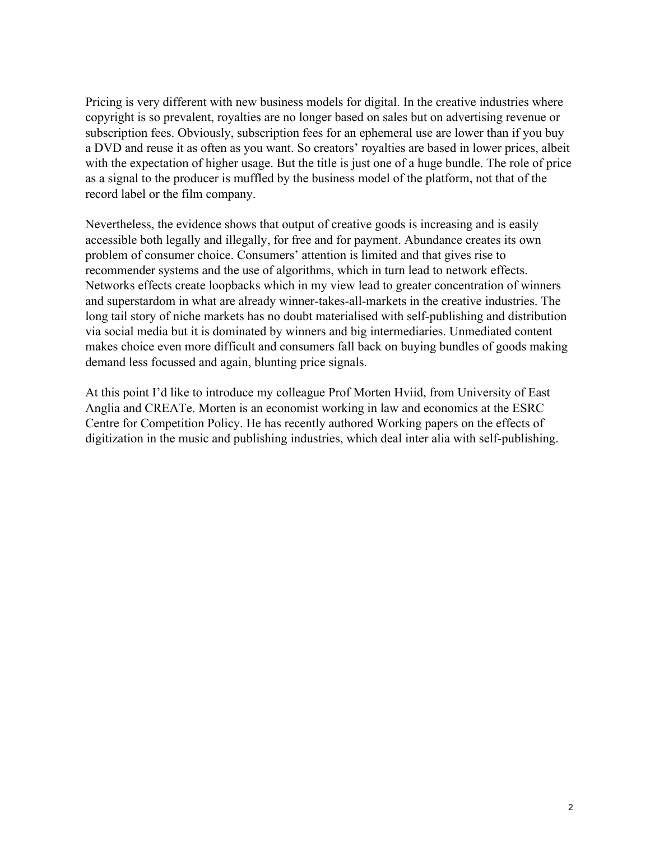Pricing is very different with new business models for digital. In the creative industries where copyright is so prevalent, royalties are no longer based on sales but on advertising revenue or subscription fees. Obviously, subscription fees for an ephemeral use are lower than if you buy a DVD and reuse it as often as you want. So creators' royalties are based in lower prices, albeit with the expectation of higher usage. But the title is just one of a huge bundle. The role of price as a signal to the producer is muffled by the business model of the platform, not that of the record label or the film company.

Nevertheless, the evidence shows that output of creative goods is increasing and is easily accessible both legally and illegally, for free and for payment. Abundance creates its own problem of consumer choice. Consumers' attention is limited and that gives rise to recommender systems and the use of algorithms, which in turn lead to network effects. Networks effects create loopbacks which in my view lead to greater concentration of winners and superstardom in what are already winner-takes-all-markets in the creative industries. The long tail story of niche markets has no doubt materialised with self-publishing and distribution via social media but it is dominated by winners and big intermediaries. Unmediated content makes choice even more difficult and consumers fall back on buying bundles of goods making demand less focussed and again, blunting price signals.

At this point I'd like to introduce my colleague Prof Morten Hviid, from University of East Anglia and CREATe. Morten is an economist working in law and economics at the ESRC Centre for Competition Policy. He has recently authored Working papers on the effects of digitization in the music and publishing industries, which deal inter alia with self-publishing.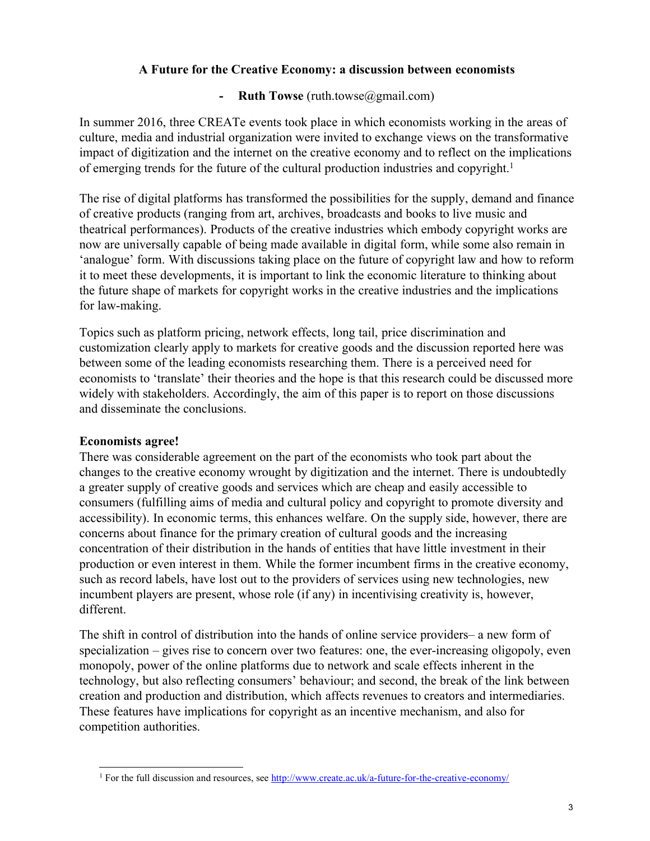## A Future for the Creative Economy: a discussion between economists

## - **Ruth Towse** (ruth.towse@gmail.com)

In summer 2016, three CREATe events took place in which economists working in the areas of culture, media and industrial organization were invited to exchange views on the transformative impact of digitization and the internet on the creative economy and to reflect on the implications of emerging trends for the future of the cultural production industries and copyright.<sup>1</sup>

The rise of digital platforms has transformed the possibilities for the supply, demand and finance of creative products (ranging from art, archives, broadcasts and books to live music and theatrical performances). Products of the creative industries which embody copyright works are now are universally capable of being made available in digital form, while some also remain in 'analogue' form. With discussions taking place on the future of copyright law and how to reform it to meet these developments, it is important to link the economic literature to thinking about the future shape of markets for copyright works in the creative industries and the implications for law-making.

Topics such as platform pricing, network effects, long tail, price discrimination and customization clearly apply to markets for creative goods and the discussion reported here was between some of the leading economists researching them. There is a perceived need for economists to 'translate' their theories and the hope is that this research could be discussed more widely with stakeholders. Accordingly, the aim of this paper is to report on those discussions and disseminate the conclusions.

### Economists agree!

There was considerable agreement on the part of the economists who took part about the changes to the creative economy wrought by digitization and the internet. There is undoubtedly a greater supply of creative goods and services which are cheap and easily accessible to consumers (fulfilling aims of media and cultural policy and copyright to promote diversity and accessibility). In economic terms, this enhances welfare. On the supply side, however, there are concerns about finance for the primary creation of cultural goods and the increasing concentration of their distribution in the hands of entities that have little investment in their production or even interest in them. While the former incumbent firms in the creative economy, such as record labels, have lost out to the providers of services using new technologies, new incumbent players are present, whose role (if any) in incentivising creativity is, however, different.

The shift in control of distribution into the hands of online service providers– a new form of specialization – gives rise to concern over two features: one, the ever-increasing oligopoly, even monopoly, power of the online platforms due to network and scale effects inherent in the technology, but also reflecting consumers' behaviour; and second, the break of the link between creation and production and distribution, which affects revenues to creators and intermediaries. These features have implications for copyright as an incentive mechanism, and also for competition authorities.

<sup>&</sup>lt;sup>1</sup> For the full discussion and resources, see http://www.create.ac.uk/a-future-for-the-creative-economy/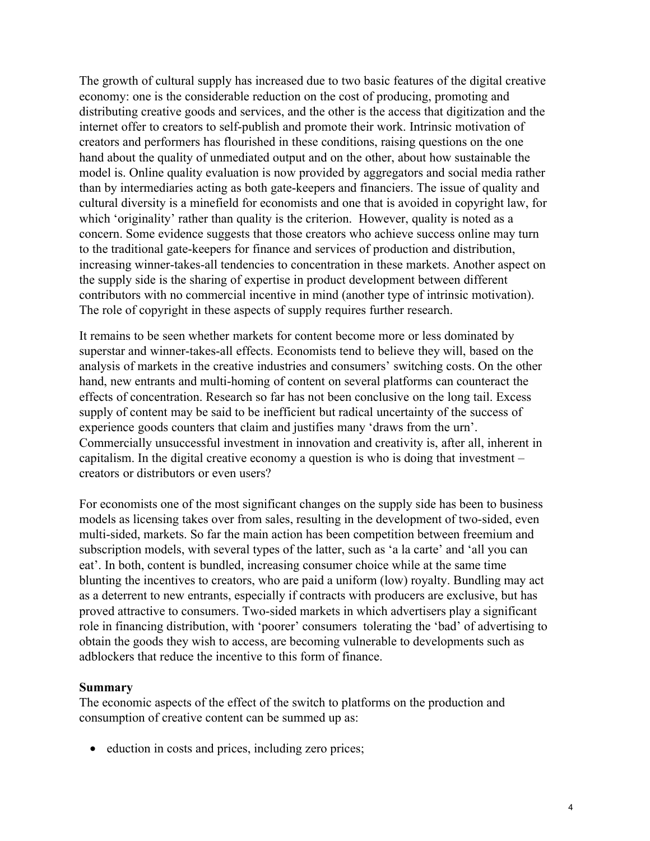The growth of cultural supply has increased due to two basic features of the digital creative economy: one is the considerable reduction on the cost of producing, promoting and distributing creative goods and services, and the other is the access that digitization and the internet offer to creators to self-publish and promote their work. Intrinsic motivation of creators and performers has flourished in these conditions, raising questions on the one hand about the quality of unmediated output and on the other, about how sustainable the model is. Online quality evaluation is now provided by aggregators and social media rather than by intermediaries acting as both gate-keepers and financiers. The issue of quality and cultural diversity is a minefield for economists and one that is avoided in copyright law, for which 'originality' rather than quality is the criterion. However, quality is noted as a concern. Some evidence suggests that those creators who achieve success online may turn to the traditional gate-keepers for finance and services of production and distribution, increasing winner-takes-all tendencies to concentration in these markets. Another aspect on the supply side is the sharing of expertise in product development between different contributors with no commercial incentive in mind (another type of intrinsic motivation). The role of copyright in these aspects of supply requires further research.

It remains to be seen whether markets for content become more or less dominated by superstar and winner-takes-all effects. Economists tend to believe they will, based on the analysis of markets in the creative industries and consumers' switching costs. On the other hand, new entrants and multi-homing of content on several platforms can counteract the effects of concentration. Research so far has not been conclusive on the long tail. Excess supply of content may be said to be inefficient but radical uncertainty of the success of experience goods counters that claim and justifies many 'draws from the urn'. Commercially unsuccessful investment in innovation and creativity is, after all, inherent in capitalism. In the digital creative economy a question is who is doing that investment – creators or distributors or even users?

For economists one of the most significant changes on the supply side has been to business models as licensing takes over from sales, resulting in the development of two-sided, even multi-sided, markets. So far the main action has been competition between freemium and subscription models, with several types of the latter, such as 'a la carte' and 'all you can eat'. In both, content is bundled, increasing consumer choice while at the same time blunting the incentives to creators, who are paid a uniform (low) royalty. Bundling may act as a deterrent to new entrants, especially if contracts with producers are exclusive, but has proved attractive to consumers. Two-sided markets in which advertisers play a significant role in financing distribution, with 'poorer' consumers tolerating the 'bad' of advertising to obtain the goods they wish to access, are becoming vulnerable to developments such as adblockers that reduce the incentive to this form of finance.

#### **Summary**

The economic aspects of the effect of the switch to platforms on the production and consumption of creative content can be summed up as:

• eduction in costs and prices, including zero prices;